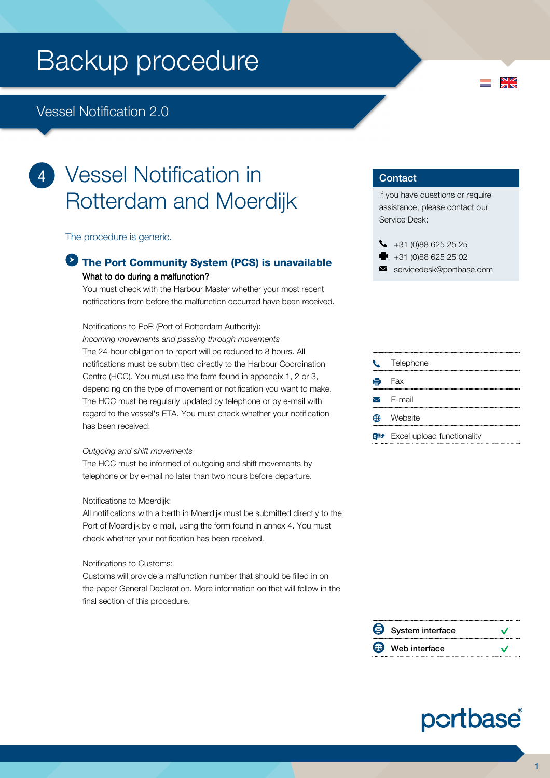### Vessel Notification 2.0

í 4

## Vessel Notification in Rotterdam and Moerdijk

The procedure is generic.

### The Port Community System (PCS) is unavailable What to do during a malfunction?

You must check with the Harbour Master whether your most recent notifications from before the malfunction occurred have been received.

#### Notifications to PoR (Port of Rotterdam Authority):

Incoming movements and passing through movements The 24-hour obligation to report will be reduced to 8 hours. All notifications must be submitted directly to the Harbour Coordination Centre (HCC). You must use the form found in appendix 1, 2 or 3, depending on the type of movement or notification you want to make. The HCC must be regularly updated by telephone or by e-mail with regard to the vessel's ETA. You must check whether your notification has been received.

#### Outgoing and shift movements

The HCC must be informed of outgoing and shift movements by telephone or by e-mail no later than two hours before departure.

#### Notifications to Moerdijk:

All notifications with a berth in Moerdijk must be submitted directly to the Port of Moerdijk by e-mail, using the form found in annex 4. You must check whether your notification has been received.

#### Notifications to Customs:

Customs will provide a malfunction number that should be filled in on the paper General Declaration. More information on that will follow in the final section of this procedure.

#### **Contact**

If you have questions or require assistance, please contact our Service Desk:

 $\frac{N}{N}$ 

- $\bigcup$  +31 (0)88 625 25 25
- $\bullet$  +31 (0)88 625 25 02
- servicedesk@portbase.com



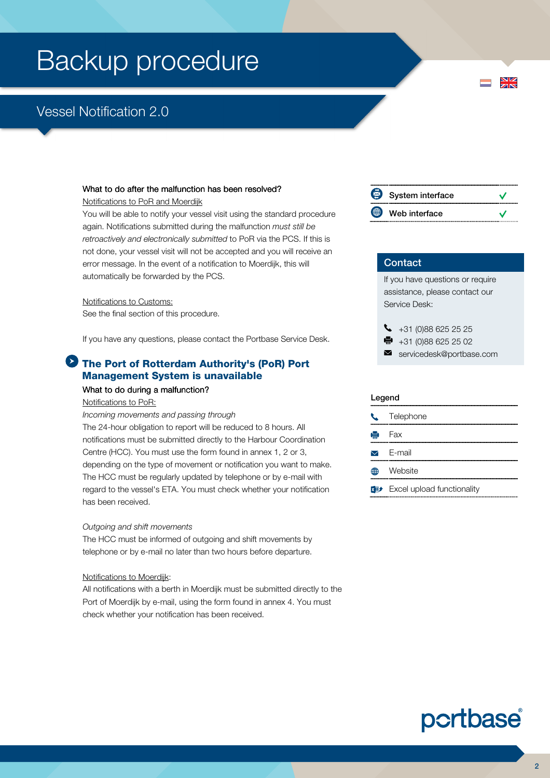## Vessel Notification 2.0

#### What to do after the malfunction has been resolved?

Notifications to PoR and Moerdijk

You will be able to notify your vessel visit using the standard procedure again. Notifications submitted during the malfunction must still be retroactively and electronically submitted to PoR via the PCS. If this is not done, your vessel visit will not be accepted and you will receive an error message. In the event of a notification to Moerdijk, this will automatically be forwarded by the PCS.

#### Notifications to Customs:

See the final section of this procedure.

If you have any questions, please contact the Portbase Service Desk.

#### **The Port of Rotterdam Authority's (PoR) Port** Management System is unavailable

#### What to do during a malfunction?

#### Notifications to PoR:

Incoming movements and passing through

The 24-hour obligation to report will be reduced to 8 hours. All notifications must be submitted directly to the Harbour Coordination Centre (HCC). You must use the form found in annex 1, 2 or 3, depending on the type of movement or notification you want to make. The HCC must be regularly updated by telephone or by e-mail with regard to the vessel's ETA. You must check whether your notification has been received.

#### Outgoing and shift movements

The HCC must be informed of outgoing and shift movements by telephone or by e-mail no later than two hours before departure.

#### Notifications to Moerdijk:

All notifications with a berth in Moerdijk must be submitted directly to the Port of Moerdijk by e-mail, using the form found in annex 4. You must check whether your notification has been received.

| System interface |  |
|------------------|--|
| Web interface    |  |

#### **Contact**

If you have questions or require assistance, please contact our Service Desk:

- $\bigcup_{+31}$  (0)88 625 25 25
- $\bullet$  +31 (0)88 625 25 02
- servicedesk@portbase.com

#### Legend

|   | C Telephone                                |
|---|--------------------------------------------|
|   | $\mathbf{H}$ Fax                           |
|   | $\triangleright$ E-mail                    |
| 困 | Website                                    |
|   | $x \rightarrow$ Excel upload functionality |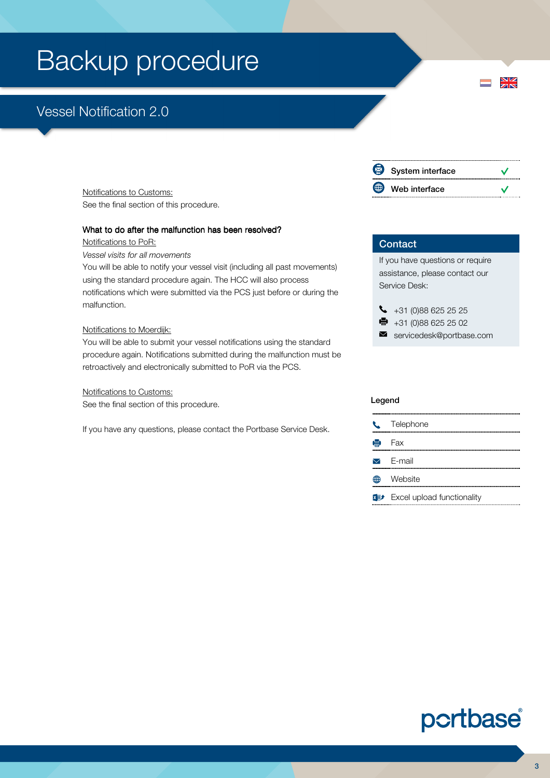## Vessel Notification 2.0

Notifications to Customs: See the final section of this procedure.

#### What to do after the malfunction has been resolved?

Notifications to PoR:

Vessel visits for all movements

You will be able to notify your vessel visit (including all past movements) using the standard procedure again. The HCC will also process notifications which were submitted via the PCS just before or during the malfunction.

#### Notifications to Moerdijk:

You will be able to submit your vessel notifications using the standard procedure again. Notifications submitted during the malfunction must be retroactively and electronically submitted to PoR via the PCS.

#### Notifications to Customs:

See the final section of this procedure.

If you have any questions, please contact the Portbase Service Desk.

#### 図 System interface  $\vee$  $\bigoplus$  $\checkmark$ Web interface

 $\frac{N}{N}$ 

#### **Contact**

If you have questions or require assistance, please contact our Service Desk:

|  | $\begin{array}{r} \big\{\end{array}$ +31 (0)88 625 25 25 |  |
|--|----------------------------------------------------------|--|
|  | $\bullet$ +31 (0)88 625 25 02                            |  |

```
servicedesk@portbase.com
```
#### Legend

| $\mathcal{L}$   | Telephone                           |
|-----------------|-------------------------------------|
| $\bigoplus$ Fax |                                     |
|                 | $\triangleright$ E-mail             |
| ÆÆA             | Website                             |
|                 | <b>x</b> Excel upload functionality |

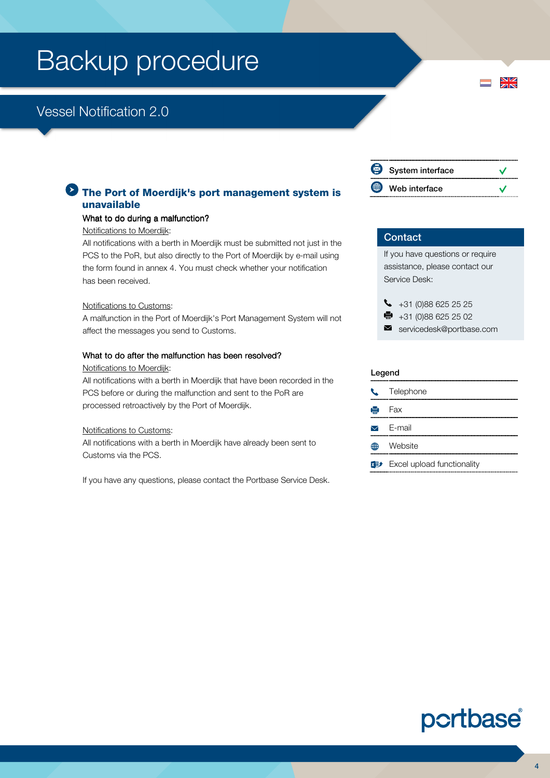### Vessel Notification 2.0

#### **The Port of Moerdijk's port management system is** unavailable

#### What to do during a malfunction?

#### Notifications to Moerdijk:

All notifications with a berth in Moerdijk must be submitted not just in the PCS to the PoR, but also directly to the Port of Moerdijk by e-mail using the form found in annex 4. You must check whether your notification has been received.

#### Notifications to Customs:

A malfunction in the Port of Moerdijk's Port Management System will not affect the messages you send to Customs.

#### What to do after the malfunction has been resolved?

#### Notifications to Moerdijk:

All notifications with a berth in Moerdijk that have been recorded in the PCS before or during the malfunction and sent to the PoR are processed retroactively by the Port of Moerdijk.

#### Notifications to Customs:

All notifications with a berth in Moerdijk have already been sent to Customs via the PCS.

If you have any questions, please contact the Portbase Service Desk.

| System interface |  |
|------------------|--|
| Web interface    |  |

 $\frac{N}{N}$ 

#### **Contact**

If you have questions or require assistance, please contact our Service Desk:

 $\begin{array}{r} \bigstar \ \end{array}$  +31 (0)88 625 25 25

- $\bullet$  +31 (0)88 625 25 02
- servicedesk@portbase.com

#### Legend

| C Telephone                       |
|-----------------------------------|
| $\mathbf{H}$ Fax                  |
| $\triangleright$ E-mail           |
| <b>⊕</b> Website                  |
| <b>Excel upload functionality</b> |

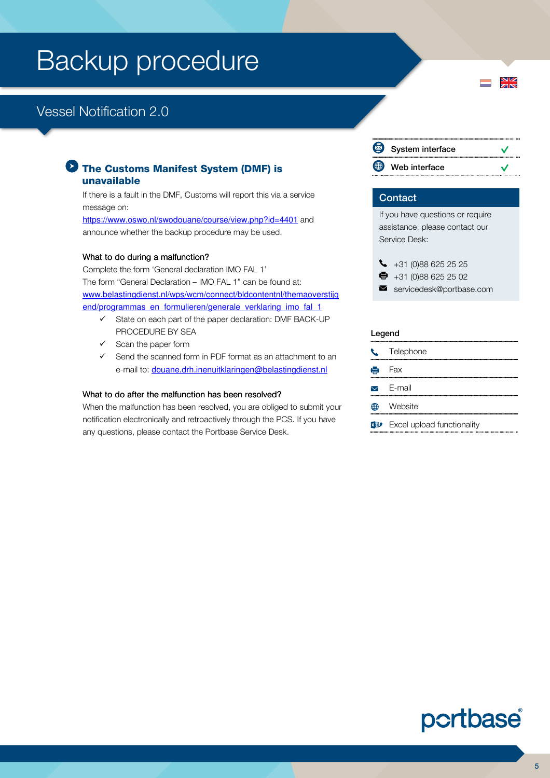## Vessel Notification 2.0

#### The Customs Manifest System (DMF) is unavailable

If there is a fault in the DMF, Customs will report this via a service message on:

https://www.oswo.nl/swodouane/course/view.php?id=4401 and announce whether the backup procedure may be used.

#### What to do during a malfunction?

Complete the form 'General declaration IMO FAL 1' The form "General Declaration – IMO FAL 1" can be found at: www.belastingdienst.nl/wps/wcm/connect/bldcontentnl/themaoverstijg end/programmas en formulieren/generale\_verklaring\_imo\_fal\_1

- $\checkmark$  State on each part of the paper declaration: DMF BACK-UP PROCEDURE BY SEA
- Scan the paper form
- $\checkmark$  Send the scanned form in PDF format as an attachment to an e-mail to: douane.drh.inenuitklaringen@belastingdienst.nl

#### What to do after the malfunction has been resolved?

When the malfunction has been resolved, you are obliged to submit your notification electronically and retroactively through the PCS. If you have any questions, please contact the Portbase Service Desk.

|             | System interface |  |
|-------------|------------------|--|
| $\bigoplus$ | Web interface    |  |

 $\frac{N}{N}$ 

#### **Contact**

If you have questions or require assistance, please contact our Service Desk:

- $\bigcup$  +31 (0)88 625 25 25
- $\bullet$  +31 (0)88 625 25 02
- servicedesk@portbase.com

#### Legend

| $\mathcal{L}$ | Telephone                            |
|---------------|--------------------------------------|
|               | $\mathbf{B}$ Fax                     |
|               | $\triangledown$ F-mail               |
|               | Website                              |
|               | <b>xD</b> Excel upload functionality |

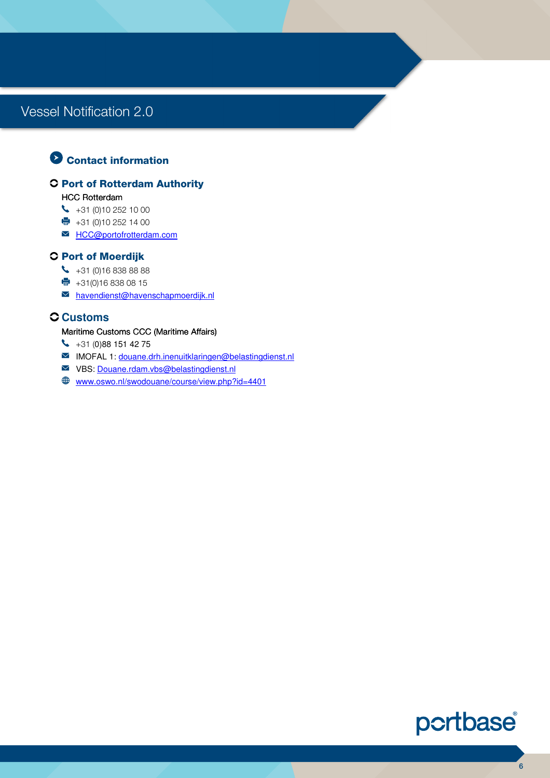### **O** Contact information

#### **C Port of Rotterdam Authority**

#### HCC Rotterdam

- $\begin{matrix} \bullet & +31 \end{matrix}$  (0)10 252 10 00
- $+31 (0)10 252 14 00$
- M **HCC@portofrotterdam.com**

#### **C Port of Moerdijk**

- $\begin{array}{r} \big\downarrow \ \ast 31 \end{array}$  (0)16 838 88 88
- $\bullet$  +31(0)16 838 08 15
- havendienst@havenschapmoerdijk.nl

#### **Customs**

#### Maritime Customs CCC (Maritime Affairs)

- $\begin{array}{r} \big\{\end{array}$  +31 (0)88 151 42 75
- IMOFAL 1: douane.drh.inenuitklaringen@belastingdienst.nl
- VBS: Douane.rdam.vbs@belastingdienst.nl
- www.oswo.nl/swodouane/course/view.php?id=4401

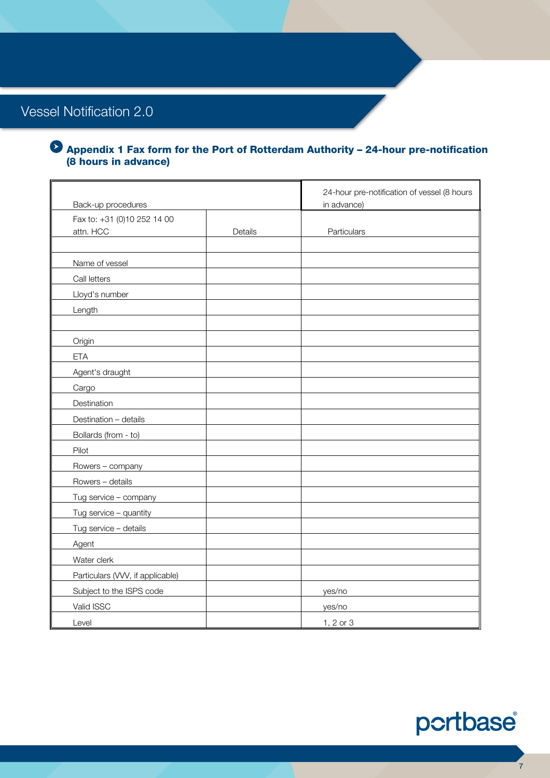#### Appendix 1 Fax form for the Port of Rotterdam Authority – 24-hour pre-notification (8 hours in advance)

| Back-up procedures               |         | 24-hour pre-notification of vessel (8 hours<br>in advance) |
|----------------------------------|---------|------------------------------------------------------------|
| Fax to: +31 (0)10 252 14 00      |         |                                                            |
| attn. HCC                        | Details | Particulars                                                |
|                                  |         |                                                            |
| Name of vessel                   |         |                                                            |
| Call letters                     |         |                                                            |
| Lloyd's number                   |         |                                                            |
| Length                           |         |                                                            |
|                                  |         |                                                            |
| Origin                           |         |                                                            |
| <b>ETA</b>                       |         |                                                            |
| Agent's draught                  |         |                                                            |
| Cargo                            |         |                                                            |
| Destination                      |         |                                                            |
| Destination - details            |         |                                                            |
| Bollards (from - to)             |         |                                                            |
| Pilot                            |         |                                                            |
| Rowers - company                 |         |                                                            |
| Rowers - details                 |         |                                                            |
| Tug service - company            |         |                                                            |
| Tug service - quantity           |         |                                                            |
| Tug service - details            |         |                                                            |
| Agent                            |         |                                                            |
| Water clerk                      |         |                                                            |
| Particulars (VVV, if applicable) |         |                                                            |
| Subject to the ISPS code         |         | yes/no                                                     |
| Valid ISSC                       |         | yes/no                                                     |
| Level                            |         | 1, $2$ or $3$                                              |

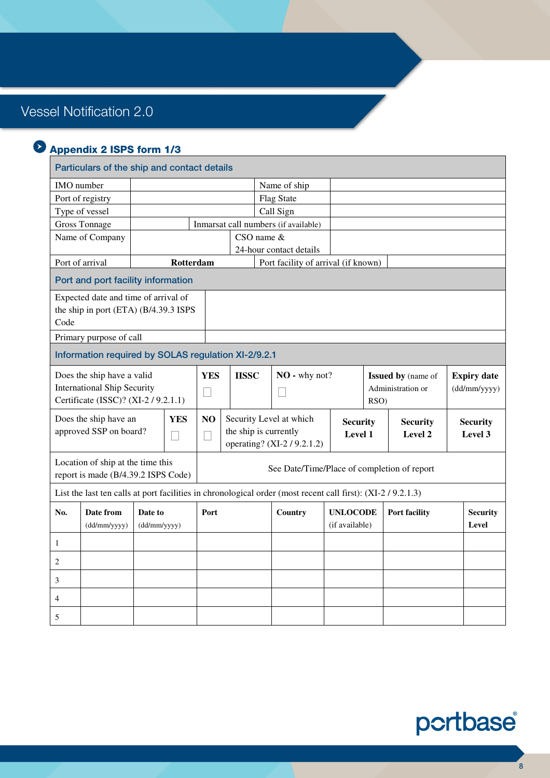### Appendix 2 ISPS form 1/3

#### Particulars of the ship and contact details IMO number Name of ship Port of registry Flag State Type of vessel Call Sign Gross Tonnage | Inmarsat call numbers (if available) Name of Company CSO name & 24-hour contact details Port of arrival **Rotterdam Port facility of arrival (if known)** Port and port facility information Expected date and time of arrival of the ship in port (ETA) (B/4.39.3 ISPS Code Primary purpose of call Information required by SOLAS regulation XI-2/9.2.1 Does the ship have a valid International Ship Security Certificate (ISSC)? (XI-2 / 9.2.1.1) **YES IISSC NO -** why not? **Issued by** (name of Administration or RSO) **Expiry date**  (dd/mm/yyyy) Does the ship have an approved SSP on board? **YES NO** Security Level at which the ship is currently operating? (XI-2 / 9.2.1.2) **Security Level 1 Security Level 2 Security Level 3**  Location of ship at the time this report is made (B/4.39.2 ISPS Code) See Date/Time/Place of completion of report List the last ten calls at port facilities in chronological order (most recent call first): (XI-2/9.2.1.3) **No. Date from** (dd/mm/yyyy) **Date to** (dd/mm/yyyy) Port **Country** UNLOCODE (if available) **Port facility Security Level**  1 2 3 4 5

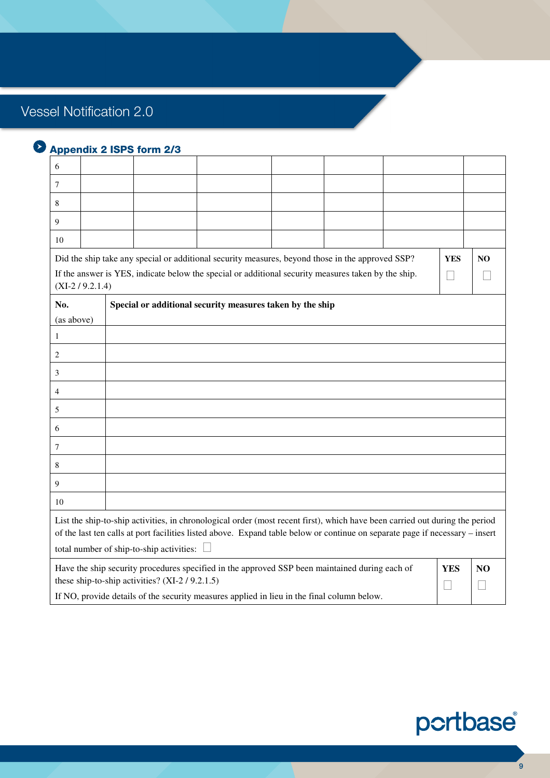| 6                |                                                                                            |                                                                                                                                                                                                                                                             |  |            |                |
|------------------|--------------------------------------------------------------------------------------------|-------------------------------------------------------------------------------------------------------------------------------------------------------------------------------------------------------------------------------------------------------------|--|------------|----------------|
| 7                |                                                                                            |                                                                                                                                                                                                                                                             |  |            |                |
| 8                |                                                                                            |                                                                                                                                                                                                                                                             |  |            |                |
| 9                |                                                                                            |                                                                                                                                                                                                                                                             |  |            |                |
| 10               |                                                                                            |                                                                                                                                                                                                                                                             |  |            |                |
| $(XI-2/9.2.1.4)$ |                                                                                            | Did the ship take any special or additional security measures, beyond those in the approved SSP?<br>If the answer is YES, indicate below the special or additional security measures taken by the ship.                                                     |  | <b>YES</b> | N <sub>O</sub> |
| No.              |                                                                                            | Special or additional security measures taken by the ship                                                                                                                                                                                                   |  |            |                |
| (as above)       |                                                                                            |                                                                                                                                                                                                                                                             |  |            |                |
| $\mathbf{1}$     |                                                                                            |                                                                                                                                                                                                                                                             |  |            |                |
| $\overline{c}$   |                                                                                            |                                                                                                                                                                                                                                                             |  |            |                |
| 3                |                                                                                            |                                                                                                                                                                                                                                                             |  |            |                |
| $\overline{4}$   |                                                                                            |                                                                                                                                                                                                                                                             |  |            |                |
| 5                |                                                                                            |                                                                                                                                                                                                                                                             |  |            |                |
| 6                |                                                                                            |                                                                                                                                                                                                                                                             |  |            |                |
| $\tau$           |                                                                                            |                                                                                                                                                                                                                                                             |  |            |                |
| 8                |                                                                                            |                                                                                                                                                                                                                                                             |  |            |                |
| 9                |                                                                                            |                                                                                                                                                                                                                                                             |  |            |                |
| 10               |                                                                                            |                                                                                                                                                                                                                                                             |  |            |                |
|                  | total number of ship-to-ship activities:                                                   | List the ship-to-ship activities, in chronological order (most recent first), which have been carried out during the period<br>of the last ten calls at port facilities listed above. Expand table below or continue on separate page if necessary - insert |  |            |                |
|                  | these ship-to-ship activities? (XI-2/9.2.1.5)                                              | Have the ship security procedures specified in the approved SSP been maintained during each of                                                                                                                                                              |  | <b>YES</b> | NO.            |
|                  | If NO, provide details of the security measures applied in lieu in the final column below. |                                                                                                                                                                                                                                                             |  |            |                |

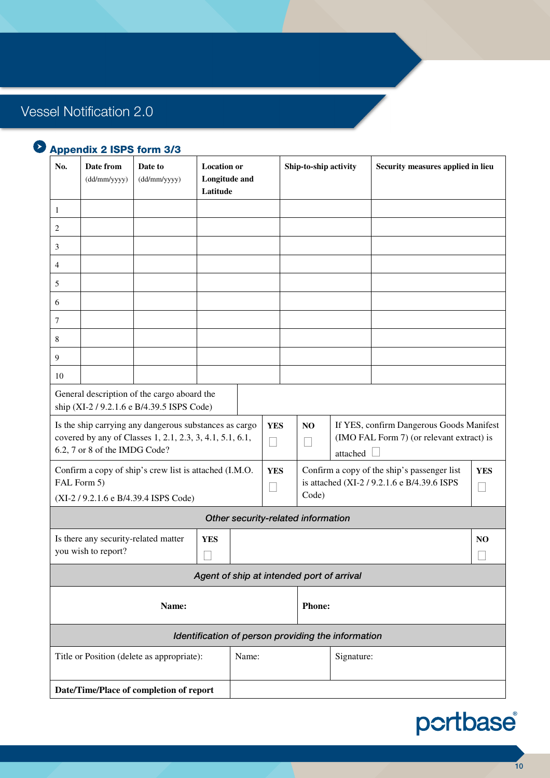| No.                                                                                       | Date from<br>(dd/mm/yyyy)                                   | Date to<br>(dd/mm/yyyy)                                                                                            | <b>Location or</b><br>Longitude and<br>Latitude |       |            |                                                                                                     | Ship-to-ship activity              |                                                    | Security measures applied in lieu                                                     |  |
|-------------------------------------------------------------------------------------------|-------------------------------------------------------------|--------------------------------------------------------------------------------------------------------------------|-------------------------------------------------|-------|------------|-----------------------------------------------------------------------------------------------------|------------------------------------|----------------------------------------------------|---------------------------------------------------------------------------------------|--|
| 1                                                                                         |                                                             |                                                                                                                    |                                                 |       |            |                                                                                                     |                                    |                                                    |                                                                                       |  |
| 2                                                                                         |                                                             |                                                                                                                    |                                                 |       |            |                                                                                                     |                                    |                                                    |                                                                                       |  |
| 3                                                                                         |                                                             |                                                                                                                    |                                                 |       |            |                                                                                                     |                                    |                                                    |                                                                                       |  |
| $\overline{4}$                                                                            |                                                             |                                                                                                                    |                                                 |       |            |                                                                                                     |                                    |                                                    |                                                                                       |  |
| 5                                                                                         |                                                             |                                                                                                                    |                                                 |       |            |                                                                                                     |                                    |                                                    |                                                                                       |  |
| 6                                                                                         |                                                             |                                                                                                                    |                                                 |       |            |                                                                                                     |                                    |                                                    |                                                                                       |  |
| $\tau$                                                                                    |                                                             |                                                                                                                    |                                                 |       |            |                                                                                                     |                                    |                                                    |                                                                                       |  |
| 8                                                                                         |                                                             |                                                                                                                    |                                                 |       |            |                                                                                                     |                                    |                                                    |                                                                                       |  |
| 9                                                                                         |                                                             |                                                                                                                    |                                                 |       |            |                                                                                                     |                                    |                                                    |                                                                                       |  |
| 10                                                                                        |                                                             |                                                                                                                    |                                                 |       |            |                                                                                                     |                                    |                                                    |                                                                                       |  |
| General description of the cargo aboard the<br>ship (XI-2 / 9.2.1.6 e B/4.39.5 ISPS Code) |                                                             |                                                                                                                    |                                                 |       |            |                                                                                                     |                                    |                                                    |                                                                                       |  |
|                                                                                           | 6.2, 7 or 8 of the IMDG Code?                               | Is the ship carrying any dangerous substances as cargo<br>covered by any of Classes 1, 2.1, 2.3, 3, 4.1, 5.1, 6.1, |                                                 |       | <b>YES</b> |                                                                                                     | NO.                                | attached                                           | If YES, confirm Dangerous Goods Manifest<br>(IMO FAL Form 7) (or relevant extract) is |  |
|                                                                                           | FAL Form 5)                                                 | Confirm a copy of ship's crew list is attached (I.M.O.<br>(XI-2/9.2.1.6 e B/4.39.4 ISPS Code)                      |                                                 |       | <b>YES</b> | Confirm a copy of the ship's passenger list<br>is attached (XI-2 / 9.2.1.6 e B/4.39.6 ISPS<br>Code) |                                    |                                                    | <b>YES</b>                                                                            |  |
|                                                                                           |                                                             |                                                                                                                    |                                                 |       |            |                                                                                                     | Other security-related information |                                                    |                                                                                       |  |
|                                                                                           | Is there any security-related matter<br>you wish to report? | <b>YES</b>                                                                                                         |                                                 |       |            |                                                                                                     |                                    |                                                    | NO.                                                                                   |  |
|                                                                                           |                                                             |                                                                                                                    | Agent of ship at intended port of arrival       |       |            |                                                                                                     |                                    |                                                    |                                                                                       |  |
| Name:                                                                                     |                                                             |                                                                                                                    |                                                 |       |            |                                                                                                     | <b>Phone:</b>                      |                                                    |                                                                                       |  |
|                                                                                           |                                                             |                                                                                                                    |                                                 |       |            |                                                                                                     |                                    | Identification of person providing the information |                                                                                       |  |
| Title or Position (delete as appropriate):                                                |                                                             |                                                                                                                    |                                                 | Name: |            |                                                                                                     |                                    | Signature:                                         |                                                                                       |  |
|                                                                                           |                                                             |                                                                                                                    |                                                 |       |            |                                                                                                     |                                    |                                                    |                                                                                       |  |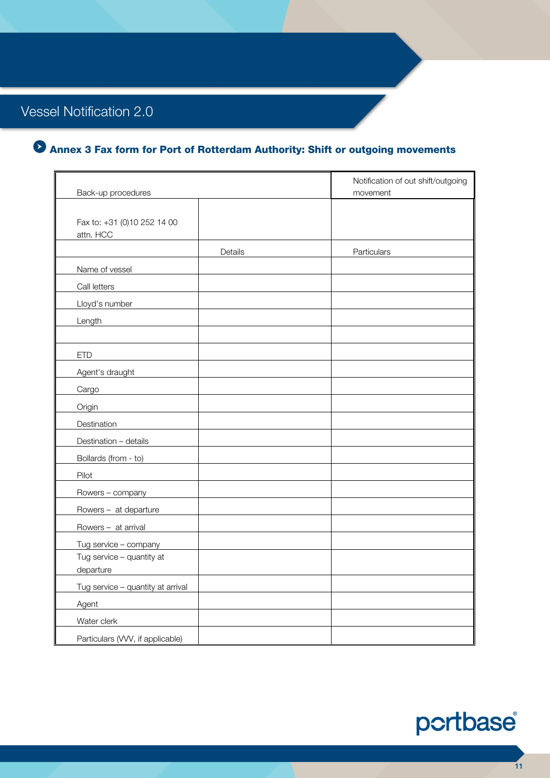## Annex 3 Fax form for Port of Rotterdam Authority: Shift or outgoing movements

| Back-up procedures                       | Notification of out shift/outgoing<br>movement |
|------------------------------------------|------------------------------------------------|
| Fax to: +31 (0)10 252 14 00<br>attn. HCC |                                                |
| Details                                  | Particulars                                    |
| Name of vessel                           |                                                |
| Call letters                             |                                                |
| Lloyd's number                           |                                                |
| Length                                   |                                                |
|                                          |                                                |
| <b>ETD</b>                               |                                                |
| Agent's draught                          |                                                |
| Cargo                                    |                                                |
| Origin                                   |                                                |
| Destination                              |                                                |
| Destination - details                    |                                                |
| Bollards (from - to)                     |                                                |
| Pilot                                    |                                                |
| Rowers - company                         |                                                |
| Rowers - at departure                    |                                                |
| Rowers - at arrival                      |                                                |
| Tug service - company                    |                                                |
| Tug service - quantity at                |                                                |
| departure                                |                                                |
| Tug service - quantity at arrival        |                                                |
| Agent                                    |                                                |
| Water clerk                              |                                                |
| Particulars (VVV, if applicable)         |                                                |